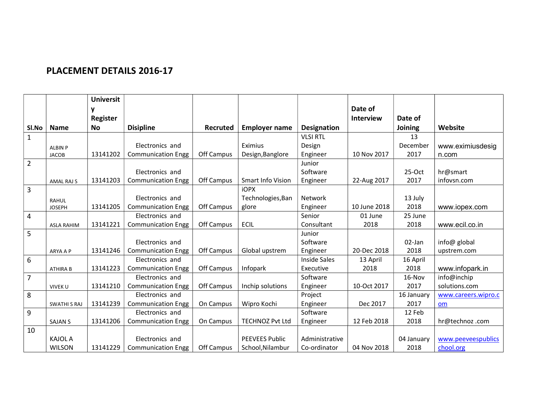## PLACEMENT DETAILS 2016-17

|                |                     | <b>Universit</b> |                           |                 |                          |                     |                  |            |                     |
|----------------|---------------------|------------------|---------------------------|-----------------|--------------------------|---------------------|------------------|------------|---------------------|
|                |                     | y                |                           |                 |                          |                     | Date of          |            |                     |
|                |                     | <b>Register</b>  |                           |                 |                          |                     | <b>Interview</b> | Date of    |                     |
| Sl.No          | <b>Name</b>         | <b>No</b>        | <b>Disipline</b>          | <b>Recruted</b> | <b>Employer name</b>     | <b>Designation</b>  |                  | Joining    | Website             |
| $\mathbf{1}$   |                     |                  |                           |                 |                          | <b>VLSI RTL</b>     |                  | 13         |                     |
|                | <b>ALBIN P</b>      |                  | Electronics and           |                 | Eximius                  | Design              |                  | December   | www.eximiusdesig    |
|                | <b>JACOB</b>        | 13141202         | <b>Communication Engg</b> | Off Campus      | Design, Banglore         | Engineer            | 10 Nov 2017      | 2017       | n.com               |
| $\overline{2}$ |                     |                  |                           |                 |                          | Junior              |                  |            |                     |
|                |                     |                  | Electronics and           |                 |                          | Software            |                  | $25-Oct$   | hr@smart            |
|                | <b>AMAL RAJ S</b>   | 13141203         | <b>Communication Engg</b> | Off Campus      | <b>Smart Info Vision</b> | Engineer            | 22-Aug 2017      | 2017       | infovsn.com         |
| $\overline{3}$ |                     |                  |                           |                 | <b>iOPX</b>              |                     |                  |            |                     |
|                | <b>RAHUL</b>        |                  | Electronics and           |                 | Technologies, Ban        | <b>Network</b>      |                  | 13 July    |                     |
|                | <b>JOSEPH</b>       | 13141205         | <b>Communication Engg</b> | Off Campus      | glore                    | Engineer            | 10 June 2018     | 2018       | www.iopex.com       |
| $\overline{4}$ |                     |                  | Electronics and           |                 |                          | Senior              | 01 June          | 25 June    |                     |
|                | <b>ASLA RAHIM</b>   | 13141221         | <b>Communication Engg</b> | Off Campus      | <b>ECIL</b>              | Consultant          | 2018             | 2018       | www.ecil.co.in      |
| 5              |                     |                  |                           |                 |                          | Junior              |                  |            |                     |
|                |                     |                  | Electronics and           |                 |                          | Software            |                  | 02-Jan     | info@ global        |
|                | ARYA A P            | 13141246         | <b>Communication Engg</b> | Off Campus      | Global upstrem           | Engineer            | 20-Dec 2018      | 2018       | upstrem.com         |
| $6\phantom{1}$ |                     |                  | Electronics and           |                 |                          | <b>Inside Sales</b> | 13 April         | 16 April   |                     |
|                | <b>ATHIRA B</b>     | 13141223         | <b>Communication Engg</b> | Off Campus      | Infopark                 | Executive           | 2018             | 2018       | www.infopark.in     |
| $\overline{7}$ |                     |                  | Electronics and           |                 |                          | Software            |                  | 16-Nov     | info@inchip         |
|                | VIVEK U             | 13141210         | <b>Communication Engg</b> | Off Campus      | Inchip solutions         | Engineer            | 10-Oct 2017      | 2017       | solutions.com       |
| 8              |                     |                  | Electronics and           |                 |                          | Project             |                  | 16 January | www.careers.wipro.c |
|                | <b>SWATHI S RAJ</b> | 13141239         | <b>Communication Engg</b> | On Campus       | Wipro Kochi              | Engineer            | Dec 2017         | 2017       | om                  |
| 9              |                     |                  | Electronics and           |                 |                          | Software            |                  | 12 Feb     |                     |
|                | <b>SAJAN S</b>      | 13141206         | <b>Communication Engg</b> | On Campus       | <b>TECHNOZ Pvt Ltd</b>   | Engineer            | 12 Feb 2018      | 2018       | hr@technoz.com      |
| 10             |                     |                  |                           |                 |                          |                     |                  |            |                     |
|                | <b>KAJOL A</b>      |                  | Electronics and           |                 | <b>PEEVEES Public</b>    | Administrative      |                  | 04 January | www.peeveespublics  |
|                | <b>WILSON</b>       | 13141229         | <b>Communication Engg</b> | Off Campus      | School, Nilambur         | Co-ordinator        | 04 Nov 2018      | 2018       | chool.org           |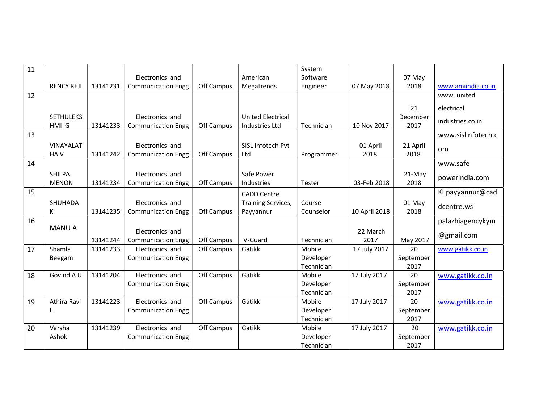| 11 |                   |          |                           |            |                           | System     |               |           |                    |
|----|-------------------|----------|---------------------------|------------|---------------------------|------------|---------------|-----------|--------------------|
|    |                   |          | Electronics and           |            | American                  | Software   |               | 07 May    |                    |
|    | <b>RENCY REJI</b> | 13141231 | <b>Communication Engg</b> | Off Campus | Megatrends                | Engineer   | 07 May 2018   | 2018      | www.amiindia.co.in |
| 12 |                   |          |                           |            |                           |            |               |           | www. united        |
|    |                   |          |                           |            |                           |            |               | 21        | electrical         |
|    | <b>SETHULEKS</b>  |          | Electronics and           |            | <b>United Electrical</b>  |            |               | December  | industries.co.in   |
|    | HMI G             | 13141233 | <b>Communication Engg</b> | Off Campus | Industries Ltd            | Technician | 10 Nov 2017   | 2017      |                    |
| 13 |                   |          |                           |            |                           |            |               |           | www.sislinfotech.c |
|    | VINAYALAT         |          | Electronics and           |            | SISL Infotech Pvt         |            | 01 April      | 21 April  | <b>om</b>          |
|    | HA V              | 13141242 | <b>Communication Engg</b> | Off Campus | Ltd                       | Programmer | 2018          | 2018      |                    |
| 14 |                   |          |                           |            |                           |            |               |           | www.safe           |
|    | <b>SHILPA</b>     |          | Electronics and           |            | Safe Power                |            |               | 21-May    | powerindia.com     |
|    | <b>MENON</b>      | 13141234 | <b>Communication Engg</b> | Off Campus | Industries                | Tester     | 03-Feb 2018   | 2018      |                    |
| 15 |                   |          |                           |            | <b>CADD Centre</b>        |            |               |           | Kl.payyannur@cad   |
|    | SHUHADA           |          | Electronics and           |            | <b>Training Services,</b> | Course     |               | 01 May    | dcentre.ws         |
|    | К                 | 13141235 | <b>Communication Engg</b> | Off Campus | Payyannur                 | Counselor  | 10 April 2018 | 2018      |                    |
| 16 |                   |          |                           |            |                           |            |               |           | palazhiagencykym   |
|    | <b>MANU A</b>     |          | Electronics and           |            |                           |            | 22 March      |           |                    |
|    |                   | 13141244 | <b>Communication Engg</b> | Off Campus | V-Guard                   | Technician | 2017          | May 2017  | @gmail.com         |
| 17 | Shamla            | 13141233 | Electronics and           | Off Campus | Gatikk                    | Mobile     | 17 July 2017  | 20        | www.gatikk.co.in   |
|    | Beegam            |          | <b>Communication Engg</b> |            |                           | Developer  |               | September |                    |
|    |                   |          |                           |            |                           | Technician |               | 2017      |                    |
| 18 | Govind A U        | 13141204 | Electronics and           | Off Campus | Gatikk                    | Mobile     | 17 July 2017  | 20        | www.gatikk.co.in   |
|    |                   |          | <b>Communication Engg</b> |            |                           | Developer  |               | September |                    |
|    |                   |          |                           |            |                           | Technician |               | 2017      |                    |
| 19 | Athira Ravi       | 13141223 | Electronics and           | Off Campus | Gatikk                    | Mobile     | 17 July 2017  | 20        | www.gatikk.co.in   |
|    | L                 |          | <b>Communication Engg</b> |            |                           | Developer  |               | September |                    |
|    |                   |          |                           |            |                           | Technician |               | 2017      |                    |
| 20 | Varsha            | 13141239 | Electronics and           | Off Campus | Gatikk                    | Mobile     | 17 July 2017  | 20        | www.gatikk.co.in   |
|    | Ashok             |          | <b>Communication Engg</b> |            |                           | Developer  |               | September |                    |
|    |                   |          |                           |            |                           | Technician |               | 2017      |                    |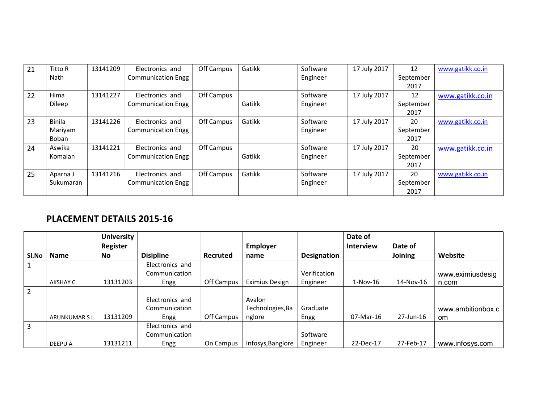| 21 | Titto R       | 13141209 | Electronics and           | Off Campus | Gatikk | Software | 17 July 2017 | 12        | www.gatikk.co.in |
|----|---------------|----------|---------------------------|------------|--------|----------|--------------|-----------|------------------|
|    | Nath          |          | <b>Communication Engg</b> |            |        | Engineer |              | September |                  |
|    |               |          |                           |            |        |          |              | 2017      |                  |
| 22 | Hima          | 13141227 | Electronics and           | Off Campus |        | Software | 17 July 2017 | 12        | www.gatikk.co.in |
|    | Dileep        |          | <b>Communication Engg</b> |            | Gatikk | Engineer |              | September |                  |
|    |               |          |                           |            |        |          |              | 2017      |                  |
| 23 | <b>Binila</b> | 13141226 | Electronics and           | Off Campus | Gatikk | Software | 17 July 2017 | 20        | www.gatikk.co.in |
|    | Mariyam       |          | <b>Communication Engg</b> |            |        | Engineer |              | September |                  |
|    | Boban         |          |                           |            |        |          |              | 2017      |                  |
| 24 | Aswika        | 13141221 | Electronics and           | Off Campus |        | Software | 17 July 2017 | 20        | www.gatikk.co.in |
|    | Komalan       |          | <b>Communication Engg</b> |            | Gatikk | Engineer |              | September |                  |
|    |               |          |                           |            |        |          |              | 2017      |                  |
| 25 | Aparna J      | 13141216 | Electronics and           | Off Campus | Gatikk | Software | 17 July 2017 | 20        | www.gatikk.co.in |
|    | Sukumaran     |          | <b>Communication Engg</b> |            |        | Engineer |              | September |                  |
|    |               |          |                           |            |        |          |              | 2017      |                  |

## PLACEMENT DETAILS 2015-16

|                |                     | <b>University</b> |                  |            |                       |              | Date of          |           |                   |
|----------------|---------------------|-------------------|------------------|------------|-----------------------|--------------|------------------|-----------|-------------------|
|                |                     | Register          |                  |            | Employer              |              | <b>Interview</b> | Date of   |                   |
| Sl.No          | <b>Name</b>         | No                | <b>Disipline</b> | Recruted   | name                  | Designation  |                  | Joining   | Website           |
|                |                     |                   | Electronics and  |            |                       |              |                  |           |                   |
|                |                     |                   | Communication    |            |                       | Verification |                  |           | www.eximiusdesig  |
|                | AKSHAY C            | 13131203          | Engg             | Off Campus | <b>Eximius Design</b> | Engineer     | $1-Nov-16$       | 14-Nov-16 | n.com             |
| $\overline{2}$ |                     |                   |                  |            |                       |              |                  |           |                   |
|                |                     |                   | Electronics and  |            | Avalon                |              |                  |           |                   |
|                |                     |                   | Communication    |            | Technologies, Ba      | Graduate     |                  |           | www.ambitionbox.c |
|                | <b>ARUNKUMAR SL</b> | 13131209          | Engg             | Off Campus | nglore                | Engg         | 07-Mar-16        | 27-Jun-16 | om.               |
| 3              |                     |                   | Electronics and  |            |                       |              |                  |           |                   |
|                |                     |                   | Communication    |            |                       | Software     |                  |           |                   |
|                | DEEPU A             | 13131211          | Engg             | On Campus  | Infosys, Banglore     | Engineer     | 22-Dec-17        | 27-Feb-17 | www.infosys.com   |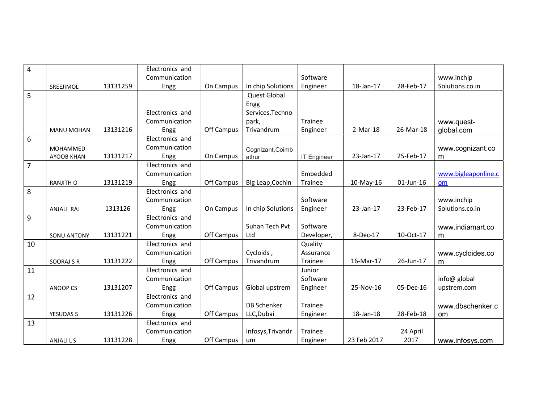| $\overline{4}$ |                    |          | Electronics and |            |                     |                    |             |           |                     |
|----------------|--------------------|----------|-----------------|------------|---------------------|--------------------|-------------|-----------|---------------------|
|                |                    |          | Communication   |            |                     | Software           |             |           | www.inchip          |
|                | SREEJIMOL          | 13131259 | Engg            | On Campus  | In chip Solutions   | Engineer           | 18-Jan-17   | 28-Feb-17 | Solutions.co.in     |
| 5              |                    |          |                 |            | <b>Quest Global</b> |                    |             |           |                     |
|                |                    |          |                 |            | Engg                |                    |             |           |                     |
|                |                    |          | Electronics and |            | Services, Techno    |                    |             |           |                     |
|                |                    |          | Communication   |            | park,               | Trainee            |             |           | www.quest-          |
|                | <b>MANU MOHAN</b>  | 13131216 | Engg            | Off Campus | Trivandrum          | Engineer           | 2-Mar-18    | 26-Mar-18 | qlobal.com          |
| $6\,$          |                    |          | Electronics and |            |                     |                    |             |           |                     |
|                | MOHAMMED           |          | Communication   |            | Cognizant, Coimb    |                    |             |           | www.cognizant.co    |
|                | <b>AYOOB KHAN</b>  | 13131217 | Engg            | On Campus  | athur               | <b>IT Engineer</b> | 23-Jan-17   | 25-Feb-17 | m                   |
| $\overline{7}$ |                    |          | Electronics and |            |                     |                    |             |           |                     |
|                |                    |          | Communication   |            |                     | Embedded           |             |           | www.bigleaponline.c |
|                | <b>RANJITH O</b>   | 13131219 | Engg            | Off Campus | Big Leap, Cochin    | Trainee            | 10-May-16   | 01-Jun-16 | om                  |
| 8              |                    |          | Electronics and |            |                     |                    |             |           |                     |
|                |                    |          | Communication   |            |                     | Software           |             |           | www.inchip          |
|                | ANJALI RAJ         | 1313126  | Engg            | On Campus  | In chip Solutions   | Engineer           | 23-Jan-17   | 23-Feb-17 | Solutions.co.in     |
| 9              |                    |          | Electronics and |            |                     |                    |             |           |                     |
|                |                    |          | Communication   |            | Suhan Tech Pvt      | Software           |             |           | www.indiamart.co    |
|                | <b>SONU ANTONY</b> | 13131221 | Engg            | Off Campus | Ltd                 | Developer,         | 8-Dec-17    | 10-Oct-17 | m                   |
| 10             |                    |          | Electronics and |            |                     | Quality            |             |           |                     |
|                |                    |          | Communication   |            | Cycloids,           | Assurance          |             |           | www.cycloides.co    |
|                | SOORAJ S R         | 13131222 | Engg            | Off Campus | Trivandrum          | Trainee            | 16-Mar-17   | 26-Jun-17 | m                   |
| 11             |                    |          | Electronics and |            |                     | Junior             |             |           |                     |
|                |                    |          | Communication   |            |                     | Software           |             |           | info@ global        |
|                | <b>ANOOP CS</b>    | 13131207 | Engg            | Off Campus | Global upstrem      | Engineer           | 25-Nov-16   | 05-Dec-16 | upstrem.com         |
| 12             |                    |          | Electronics and |            |                     |                    |             |           |                     |
|                |                    |          | Communication   |            | <b>DB Schenker</b>  | Trainee            |             |           | www.dbschenker.c    |
|                | <b>YESUDAS S</b>   | 13131226 | Engg            | Off Campus | LLC, Dubai          | Engineer           | 18-Jan-18   | 28-Feb-18 | <b>om</b>           |
| 13             |                    |          | Electronics and |            |                     |                    |             |           |                     |
|                |                    |          | Communication   |            | Infosys, Trivandr   | Trainee            |             | 24 April  |                     |
|                | <b>ANJALILS</b>    | 13131228 | Engg            | Off Campus | um                  | Engineer           | 23 Feb 2017 | 2017      | www.infosys.com     |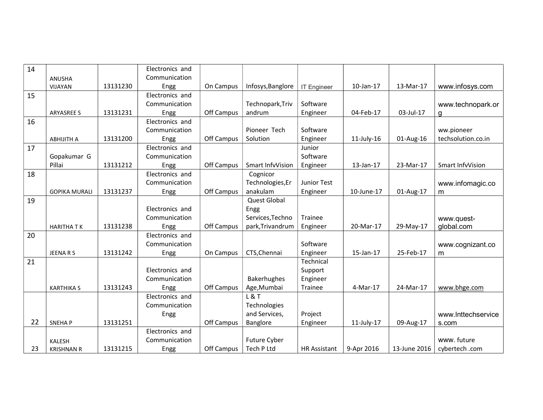| 14 |                      |          | Electronics and |            |                   |                     |               |              |                    |
|----|----------------------|----------|-----------------|------------|-------------------|---------------------|---------------|--------------|--------------------|
|    | ANUSHA               |          | Communication   |            |                   |                     |               |              |                    |
|    | VIJAYAN              | 13131230 | Engg            | On Campus  | Infosys, Banglore | <b>IT Engineer</b>  | 10-Jan-17     | 13-Mar-17    | www.infosys.com    |
| 15 |                      |          | Electronics and |            |                   |                     |               |              |                    |
|    |                      |          | Communication   |            | Technopark, Triv  | Software            |               |              | www.technopark.or  |
|    | <b>ARYASREE S</b>    | 13131231 | Engg            | Off Campus | andrum            | Engineer            | 04-Feb-17     | 03-Jul-17    | g                  |
| 16 |                      |          | Electronics and |            |                   |                     |               |              |                    |
|    |                      |          | Communication   |            | Pioneer Tech      | Software            |               |              | ww.pioneer         |
|    | <b>ABHIJITH A</b>    | 13131200 | Engg            | Off Campus | Solution          | Engineer            | $11$ -July-16 | 01-Aug-16    | techsolution.co.in |
| 17 |                      |          | Electronics and |            |                   | Junior              |               |              |                    |
|    | Gopakumar G          |          | Communication   |            |                   | Software            |               |              |                    |
|    | Pillai               | 13131212 | Engg            | Off Campus | Smart InfvVision  | Engineer            | 13-Jan-17     | 23-Mar-17    | Smart InfvVision   |
| 18 |                      |          | Electronics and |            | Cognicor          |                     |               |              |                    |
|    |                      |          | Communication   |            | Technologies, Er  | Junior Test         |               |              | www.infomagic.co   |
|    | <b>GOPIKA MURALI</b> | 13131237 | Engg            | Off Campus | anakulam          | Engineer            | 10-June-17    | 01-Aug-17    | m                  |
| 19 |                      |          |                 |            | Quest Global      |                     |               |              |                    |
|    |                      |          | Electronics and |            | Engg              |                     |               |              |                    |
|    |                      |          | Communication   |            | Services, Techno  | Trainee             |               |              | www.quest-         |
|    | <b>HARITHATK</b>     | 13131238 | Engg            | Off Campus | park, Trivandrum  | Engineer            | 20-Mar-17     | 29-May-17    | global.com         |
| 20 |                      |          | Electronics and |            |                   |                     |               |              |                    |
|    |                      |          | Communication   |            |                   | Software            |               |              | www.cognizant.co   |
|    | JEENARS              | 13131242 | Engg            | On Campus  | CTS, Chennai      | Engineer            | 15-Jan-17     | 25-Feb-17    | m                  |
| 21 |                      |          |                 |            |                   | Technical           |               |              |                    |
|    |                      |          | Electronics and |            |                   | Support             |               |              |                    |
|    |                      |          | Communication   |            | Bakerhughes       | Engineer            |               |              |                    |
|    | <b>KARTHIKA S</b>    | 13131243 | Engg            | Off Campus | Age, Mumbai       | Trainee             | 4-Mar-17      | 24-Mar-17    | www.bhge.com       |
|    |                      |          | Electronics and |            | L & T             |                     |               |              |                    |
|    |                      |          | Communication   |            | Technologies      |                     |               |              |                    |
|    |                      |          | Engg            |            | and Services,     | Project             |               |              | www.Inttechservice |
| 22 | <b>SNEHAP</b>        | 13131251 |                 | Off Campus | Banglore          | Engineer            | $11$ -July-17 | 09-Aug-17    | s.com              |
|    |                      |          | Electronics and |            |                   |                     |               |              |                    |
|    | KALESH               |          | Communication   |            | Future Cyber      |                     |               |              | www. future        |
| 23 | <b>KRISHNAN R</b>    | 13131215 | Engg            | Off Campus | Tech P Ltd        | <b>HR Assistant</b> | 9-Apr 2016    | 13-June 2016 | cybertech.com      |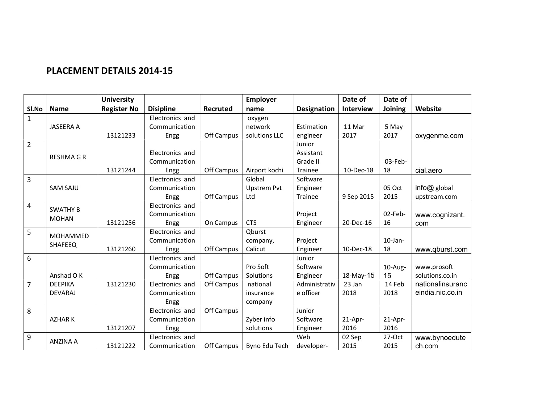## PLACEMENT DETAILS 2014-15

|                |                  | <b>University</b>  |                  |            | <b>Employer</b>    |                    | Date of          | Date of    |                  |
|----------------|------------------|--------------------|------------------|------------|--------------------|--------------------|------------------|------------|------------------|
| SI.No          | <b>Name</b>      | <b>Register No</b> | <b>Disipline</b> | Recruted   | name               | <b>Designation</b> | <b>Interview</b> | Joining    | Website          |
| $\mathbf{1}$   |                  |                    | Electronics and  |            | oxygen             |                    |                  |            |                  |
|                | <b>JASEERA A</b> |                    | Communication    |            | network            | Estimation         | 11 Mar           | 5 May      |                  |
|                |                  | 13121233           | Engg             | Off Campus | solutions LLC      | engineer           | 2017             | 2017       | oxygenme.com     |
| $\overline{2}$ |                  |                    |                  |            |                    | Junior             |                  |            |                  |
|                | <b>RESHMAGR</b>  |                    | Electronics and  |            |                    | Assistant          |                  |            |                  |
|                |                  |                    | Communication    |            |                    | Grade II           |                  | 03-Feb-    |                  |
|                |                  | 13121244           | Engg             | Off Campus | Airport kochi      | <b>Trainee</b>     | 10-Dec-18        | 18         | cial.aero        |
| $\overline{3}$ |                  |                    | Electronics and  |            | Global             | Software           |                  |            |                  |
|                | <b>SAM SAJU</b>  |                    | Communication    |            | <b>Upstrem Pvt</b> | Engineer           |                  | 05 Oct     | info@ global     |
|                |                  |                    | Engg             | Off Campus | Ltd                | Trainee            | 9 Sep 2015       | 2015       | upstream.com     |
| $\overline{4}$ | <b>SWATHY B</b>  |                    | Electronics and  |            |                    |                    |                  |            |                  |
|                | <b>MOHAN</b>     |                    | Communication    |            |                    | Project            |                  | 02-Feb-    | www.cognizant.   |
|                |                  | 13121256           | Engg             | On Campus  | <b>CTS</b>         | Engineer           | 20-Dec-16        | 16         | com              |
| 5              | MOHAMMED         |                    | Electronics and  |            | Oburst             |                    |                  |            |                  |
|                | SHAFEEQ          |                    | Communication    |            | company,           | Project            |                  | $10$ -Jan- |                  |
|                |                  | 13121260           | Engg             | Off Campus | Calicut            | Engineer           | 10-Dec-18        | 18         | www.gburst.com   |
| 6              |                  |                    | Electronics and  |            |                    | Junior             |                  |            |                  |
|                |                  |                    | Communication    |            | Pro Soft           | Software           |                  | $10$ -Aug- | www.prosoft      |
|                | Anshad O K       |                    | Engg             | Off Campus | Solutions          | Engineer           | 18-May-15        | 15         | solutions.co.in  |
| $\overline{7}$ | <b>DEEPIKA</b>   | 13121230           | Electronics and  | Off Campus | national           | Administrativ      | 23 Jan           | 14 Feb     | nationalinsuranc |
|                | <b>DEVARAJ</b>   |                    | Communication    |            | insurance          | e officer          | 2018             | 2018       | eindia.nic.co.in |
|                |                  |                    | Engg             |            | company            |                    |                  |            |                  |
| 8              |                  |                    | Electronics and  | Off Campus |                    | Junior             |                  |            |                  |
|                | <b>AZHARK</b>    |                    | Communication    |            | Zyber info         | Software           | 21-Apr-          | 21-Apr-    |                  |
|                |                  | 13121207           | Engg             |            | solutions          | Engineer           | 2016             | 2016       |                  |
| $\overline{9}$ | <b>ANZINA A</b>  |                    | Electronics and  |            |                    | Web                | 02 Sep           | 27-Oct     | www.bynoedute    |
|                |                  | 13121222           | Communication    | Off Campus | Byno Edu Tech      | developer-         | 2015             | 2015       | ch.com           |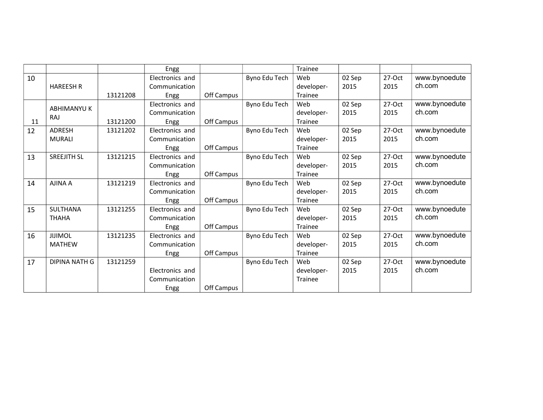|    |                      |          | Engg            |            |               | Trainee    |        |          |               |
|----|----------------------|----------|-----------------|------------|---------------|------------|--------|----------|---------------|
| 10 |                      |          | Electronics and |            | Byno Edu Tech | Web        | 02 Sep | 27-Oct   | www.bynoedute |
|    | <b>HAREESH R</b>     |          | Communication   |            |               | developer- | 2015   | 2015     | ch.com        |
|    |                      | 13121208 | Engg            | Off Campus |               | Trainee    |        |          |               |
|    |                      |          | Electronics and |            | Byno Edu Tech | Web        | 02 Sep | 27-Oct   | www.bynoedute |
|    | <b>ABHIMANYU K</b>   |          | Communication   |            |               | developer- | 2015   | 2015     | ch.com        |
| 11 | <b>RAJ</b>           | 13121200 | Engg            | Off Campus |               | Trainee    |        |          |               |
| 12 | ADRESH               | 13121202 | Electronics and |            | Byno Edu Tech | Web        | 02 Sep | 27-Oct   | www.bynoedute |
|    | <b>MURALI</b>        |          | Communication   |            |               | developer- | 2015   | 2015     | ch.com        |
|    |                      |          | Engg            | Off Campus |               | Trainee    |        |          |               |
| 13 | <b>SREEJITH SL</b>   | 13121215 | Electronics and |            | Byno Edu Tech | Web        | 02 Sep | $27-Oct$ | www.bynoedute |
|    |                      |          | Communication   |            |               | developer- | 2015   | 2015     | ch.com        |
|    |                      |          | Engg            | Off Campus |               | Trainee    |        |          |               |
| 14 | <b>AJINA A</b>       | 13121219 | Electronics and |            | Byno Edu Tech | Web        | 02 Sep | 27-Oct   | www.bynoedute |
|    |                      |          | Communication   |            |               | developer- | 2015   | 2015     | ch.com        |
|    |                      |          | Engg            | Off Campus |               | Trainee    |        |          |               |
| 15 | SULTHANA             | 13121255 | Electronics and |            | Byno Edu Tech | Web        | 02 Sep | 27-Oct   | www.bynoedute |
|    | <b>THAHA</b>         |          | Communication   |            |               | developer- | 2015   | 2015     | ch.com        |
|    |                      |          | Engg            | Off Campus |               | Trainee    |        |          |               |
| 16 | <b>JIJIMOL</b>       | 13121235 | Electronics and |            | Byno Edu Tech | Web        | 02 Sep | 27-Oct   | www.bynoedute |
|    | <b>MATHEW</b>        |          | Communication   |            |               | developer- | 2015   | 2015     | ch.com        |
|    |                      |          | Engg            | Off Campus |               | Trainee    |        |          |               |
| 17 | <b>DIPINA NATH G</b> | 13121259 |                 |            | Byno Edu Tech | Web        | 02 Sep | $27-Oct$ | www.bynoedute |
|    |                      |          | Electronics and |            |               | developer- | 2015   | 2015     | ch.com        |
|    |                      |          | Communication   |            |               | Trainee    |        |          |               |
|    |                      |          | Engg            | Off Campus |               |            |        |          |               |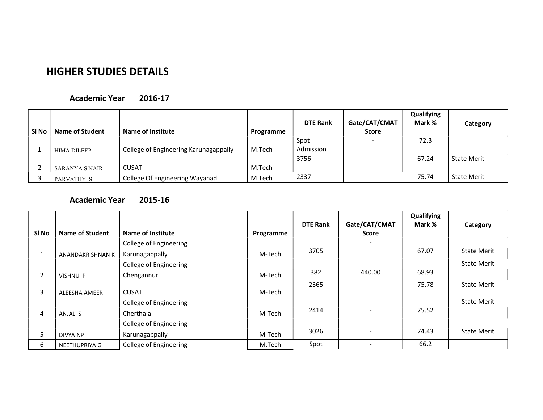# HIGHER STUDIES DETAILS

#### Academic Year 2016-17

| SI <sub>No</sub> | Name of Student    | Name of Institute                     | Programme | <b>DTE Rank</b>   | Gate/CAT/CMAT<br><b>Score</b> | Qualifying<br>Mark % | Category           |
|------------------|--------------------|---------------------------------------|-----------|-------------------|-------------------------------|----------------------|--------------------|
|                  | <b>HIMA DILEEP</b> | College of Engineering Karunagappally | M.Tech    | Spot<br>Admission | $\sim$                        | 72.3                 |                    |
|                  | SARANYA S NAIR     | <b>CUSAT</b>                          | M.Tech    | 3756              |                               | 67.24                | <b>State Merit</b> |
|                  | PARVATHY S         | College Of Engineering Wayanad        | M.Tech    | 2337              |                               | 75.74                | <b>State Merit</b> |

### Academic Year 2015-16

|                |                        |                               |           |                 |                          | Qualifying |                    |
|----------------|------------------------|-------------------------------|-----------|-----------------|--------------------------|------------|--------------------|
|                |                        |                               |           | <b>DTE Rank</b> | Gate/CAT/CMAT            | Mark %     | Category           |
| SI No          | <b>Name of Student</b> | Name of Institute             | Programme |                 | <b>Score</b>             |            |                    |
|                |                        | College of Engineering        |           |                 |                          |            |                    |
| $\mathbf{1}$   | ANANDAKRISHNAN K       | Karunagappally                | M-Tech    | 3705            |                          | 67.07      | <b>State Merit</b> |
|                |                        | <b>College of Engineering</b> |           |                 |                          |            | <b>State Merit</b> |
| $\overline{2}$ | <b>VISHNU P</b>        | Chengannur                    | M-Tech    | 382             | 440.00                   | 68.93      |                    |
|                |                        |                               |           | 2365            |                          | 75.78      | <b>State Merit</b> |
| 3              | ALEESHA AMEER          | <b>CUSAT</b>                  | M-Tech    |                 |                          |            |                    |
|                |                        | <b>College of Engineering</b> |           |                 |                          |            | <b>State Merit</b> |
| 4              | ANJALI S               | Cherthala                     | M-Tech    | 2414            | $\overline{\phantom{0}}$ | 75.52      |                    |
|                |                        | <b>College of Engineering</b> |           |                 |                          |            |                    |
| 5              | <b>DIVYA NP</b>        | Karunagappally                | M-Tech    | 3026            | $\sim$                   | 74.43      | <b>State Merit</b> |
| 6              | NEETHUPRIYA G          | <b>College of Engineering</b> | M.Tech    | Spot            |                          | 66.2       |                    |